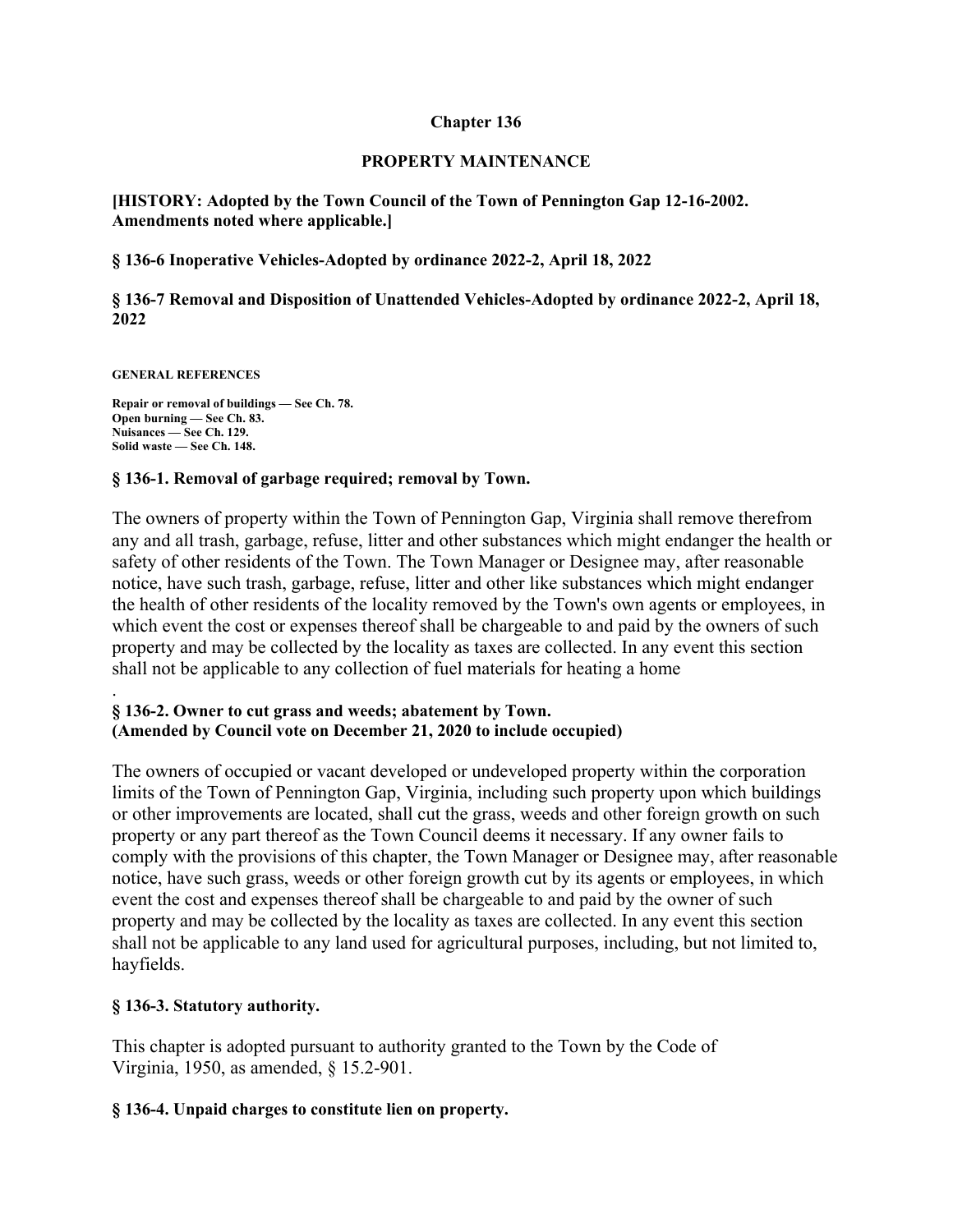### **Chapter 136**

### **PROPERTY MAINTENANCE**

**[HISTORY: Adopted by the Town Council of the Town of Pennington Gap 12-16-2002. Amendments noted where applicable.]** 

# **§ 136-6 Inoperative Vehicles-Adopted by ordinance 2022-2, April 18, 2022**

**§ 136-7 Removal and Disposition of Unattended Vehicles-Adopted by ordinance 2022-2, April 18, 2022** 

**GENERAL REFERENCES** 

**Repair or removal of buildings — See Ch. 78. Open burning — See Ch. 83. Nuisances — See Ch. 129. Solid waste — See Ch. 148.** 

# **§ 136-1. Removal of garbage required; removal by Town.**

The owners of property within the Town of Pennington Gap, Virginia shall remove therefrom any and all trash, garbage, refuse, litter and other substances which might endanger the health or safety of other residents of the Town. The Town Manager or Designee may, after reasonable notice, have such trash, garbage, refuse, litter and other like substances which might endanger the health of other residents of the locality removed by the Town's own agents or employees, in which event the cost or expenses thereof shall be chargeable to and paid by the owners of such property and may be collected by the locality as taxes are collected. In any event this section shall not be applicable to any collection of fuel materials for heating a home

### . **§ 136-2. Owner to cut grass and weeds; abatement by Town. (Amended by Council vote on December 21, 2020 to include occupied)**

The owners of occupied or vacant developed or undeveloped property within the corporation limits of the Town of Pennington Gap, Virginia, including such property upon which buildings or other improvements are located, shall cut the grass, weeds and other foreign growth on such property or any part thereof as the Town Council deems it necessary. If any owner fails to comply with the provisions of this chapter, the Town Manager or Designee may, after reasonable notice, have such grass, weeds or other foreign growth cut by its agents or employees, in which event the cost and expenses thereof shall be chargeable to and paid by the owner of such property and may be collected by the locality as taxes are collected. In any event this section shall not be applicable to any land used for agricultural purposes, including, but not limited to, hayfields.

# **§ 136-3. Statutory authority.**

This chapter is adopted pursuant to authority granted to the Town by the Code of Virginia, 1950, as amended, § 15.2-901.

# **§ 136-4. Unpaid charges to constitute lien on property.**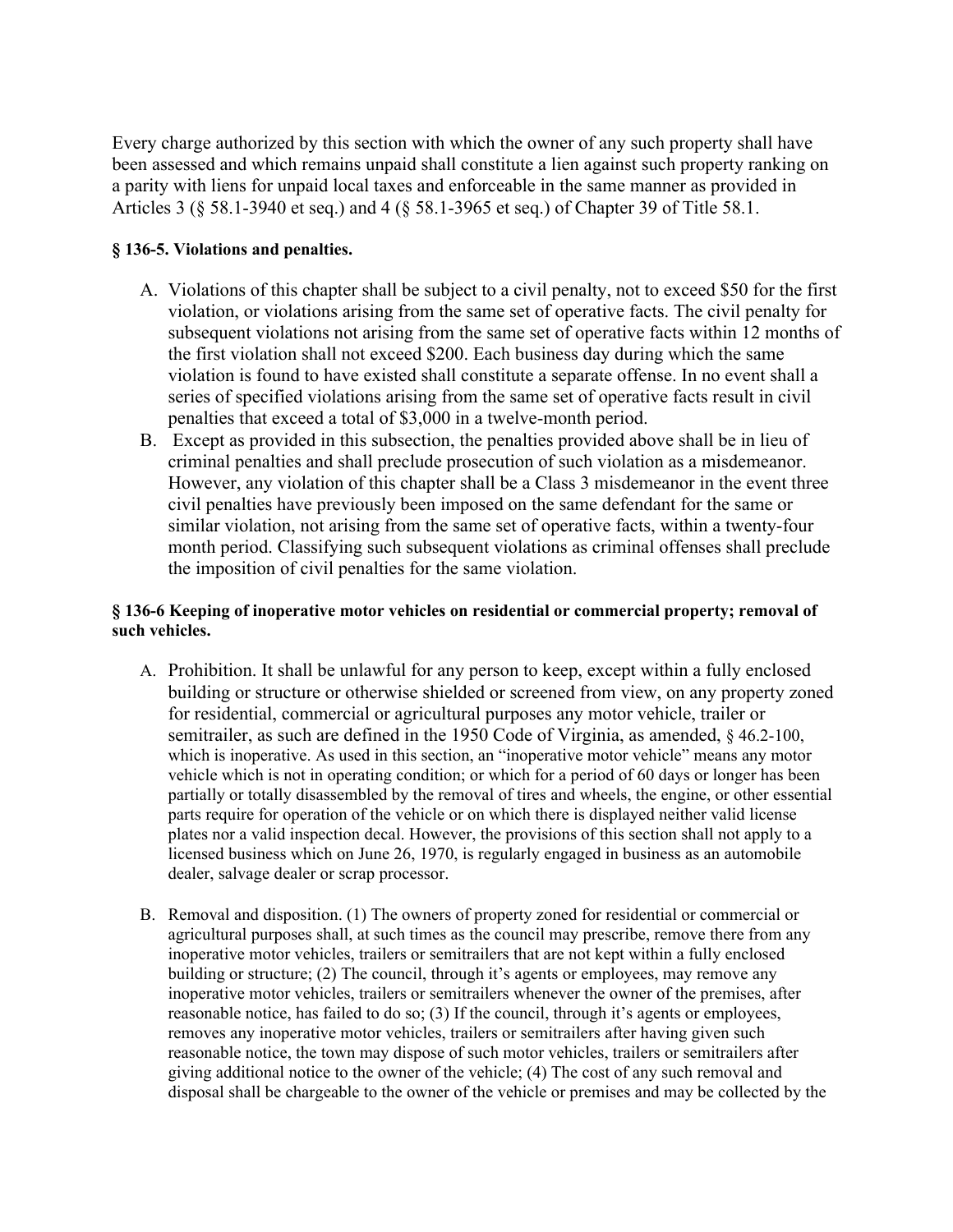Every charge authorized by this section with which the owner of any such property shall have been assessed and which remains unpaid shall constitute a lien against such property ranking on a parity with liens for unpaid local taxes and enforceable in the same manner as provided in Articles 3 (§ 58.1-3940 et seq.) and 4 (§ 58.1-3965 et seq.) of Chapter 39 of Title 58.1.

### **§ 136-5. Violations and penalties.**

- A. Violations of this chapter shall be subject to a civil penalty, not to exceed \$50 for the first violation, or violations arising from the same set of operative facts. The civil penalty for subsequent violations not arising from the same set of operative facts within 12 months of the first violation shall not exceed \$200. Each business day during which the same violation is found to have existed shall constitute a separate offense. In no event shall a series of specified violations arising from the same set of operative facts result in civil penalties that exceed a total of \$3,000 in a twelve-month period.
- B. Except as provided in this subsection, the penalties provided above shall be in lieu of criminal penalties and shall preclude prosecution of such violation as a misdemeanor. However, any violation of this chapter shall be a Class 3 misdemeanor in the event three civil penalties have previously been imposed on the same defendant for the same or similar violation, not arising from the same set of operative facts, within a twenty-four month period. Classifying such subsequent violations as criminal offenses shall preclude the imposition of civil penalties for the same violation.

# **§ 136-6 Keeping of inoperative motor vehicles on residential or commercial property; removal of such vehicles.**

- A. Prohibition. It shall be unlawful for any person to keep, except within a fully enclosed building or structure or otherwise shielded or screened from view, on any property zoned for residential, commercial or agricultural purposes any motor vehicle, trailer or semitrailer, as such are defined in the 1950 Code of Virginia, as amended,  $\S$  46.2-100, which is inoperative. As used in this section, an "inoperative motor vehicle" means any motor vehicle which is not in operating condition; or which for a period of 60 days or longer has been partially or totally disassembled by the removal of tires and wheels, the engine, or other essential parts require for operation of the vehicle or on which there is displayed neither valid license plates nor a valid inspection decal. However, the provisions of this section shall not apply to a licensed business which on June 26, 1970, is regularly engaged in business as an automobile dealer, salvage dealer or scrap processor.
- B. Removal and disposition. (1) The owners of property zoned for residential or commercial or agricultural purposes shall, at such times as the council may prescribe, remove there from any inoperative motor vehicles, trailers or semitrailers that are not kept within a fully enclosed building or structure; (2) The council, through it's agents or employees, may remove any inoperative motor vehicles, trailers or semitrailers whenever the owner of the premises, after reasonable notice, has failed to do so; (3) If the council, through it's agents or employees, removes any inoperative motor vehicles, trailers or semitrailers after having given such reasonable notice, the town may dispose of such motor vehicles, trailers or semitrailers after giving additional notice to the owner of the vehicle; (4) The cost of any such removal and disposal shall be chargeable to the owner of the vehicle or premises and may be collected by the